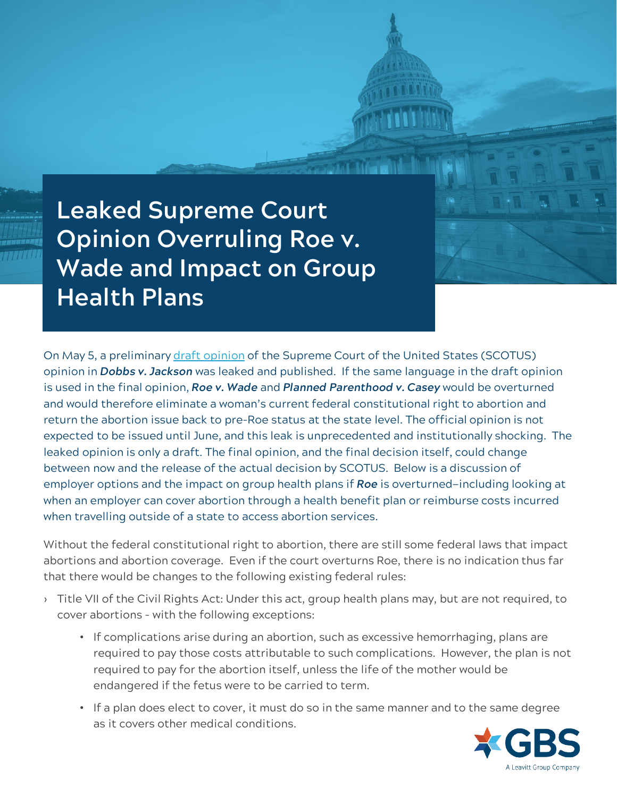**Leaked Supreme Court Opinion Overruling Roe v. Wade and Impact on Group Health Plans**

On May 5, a preliminary [draft opinion](https://www.documentcloud.org/documents/21835435-scotus-initial-draft) of the Supreme Court of the United States (SCOTUS) opinion in *Dobbs v. Jackson* was leaked and published. If the same language in the draft opinion is used in the final opinion, *Roe v. Wade* and *Planned Parenthood v. Casey* would be overturned and would therefore eliminate a woman's current federal constitutional right to abortion and return the abortion issue back to pre-Roe status at the state level. The official opinion is not expected to be issued until June, and this leak is unprecedented and institutionally shocking. The leaked opinion is only a draft. The final opinion, and the final decision itself, could change between now and the release of the actual decision by SCOTUS. Below is a discussion of employer options and the impact on group health plans if *Roe* is overturned—including looking at when an employer can cover abortion through a health benefit plan or reimburse costs incurred when travelling outside of a state to access abortion services.

Without the federal constitutional right to abortion, there are still some federal laws that impact abortions and abortion coverage. Even if the court overturns Roe, there is no indication thus far that there would be changes to the following existing federal rules:

- › Title VII of the Civil Rights Act: Under this act, group health plans may, but are not required, to cover abortions - with the following exceptions:
	- If complications arise during an abortion, such as excessive hemorrhaging, plans are required to pay those costs attributable to such complications. However, the plan is not required to pay for the abortion itself, unless the life of the mother would be endangered if the fetus were to be carried to term.
	- If a plan does elect to cover, it must do so in the same manner and to the same degree as it covers other medical conditions.

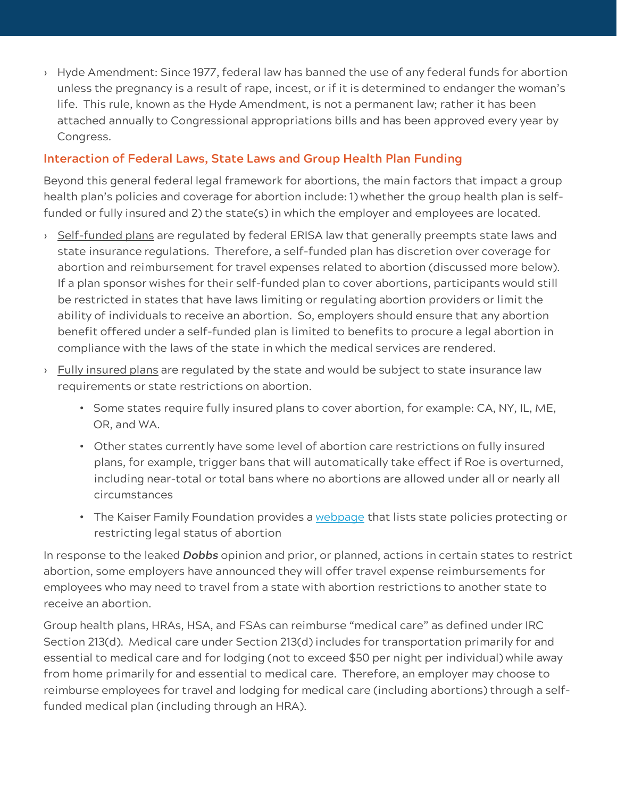› Hyde Amendment: Since 1977, federal law has banned the use of any federal funds for abortion unless the pregnancy is a result of rape, incest, or if it is determined to endanger the woman's life. This rule, known as the Hyde Amendment, is not a permanent law; rather it has been attached annually to Congressional appropriations bills and has been approved every year by Congress.

## **Interaction of Federal Laws, State Laws and Group Health Plan Funding**

Beyond this general federal legal framework for abortions, the main factors that impact a group health plan's policies and coverage for abortion include: 1) whether the group health plan is selffunded or fully insured and 2) the state(s) in which the employer and employees are located.

- > Self-funded plans are regulated by federal ERISA law that generally preempts state laws and state insurance regulations. Therefore, a self-funded plan has discretion over coverage for abortion and reimbursement for travel expenses related to abortion (discussed more below). If a plan sponsor wishes for their self-funded plan to cover abortions, participants would still be restricted in states that have laws limiting or regulating abortion providers or limit the ability of individuals to receive an abortion. So, employers should ensure that any abortion benefit offered under a self-funded plan is limited to benefits to procure a legal abortion in compliance with the laws of the state in which the medical services are rendered.
- $\rightarrow$  Fully insured plans are regulated by the state and would be subject to state insurance law requirements or state restrictions on abortion.
	- Some states require fully insured plans to cover abortion, for example: CA, NY, IL, ME, OR, and WA.
	- Other states currently have some level of abortion care restrictions on fully insured plans, for example, trigger bans that will automatically take effect if Roe is overturned, including near-total or total bans where no abortions are allowed under all or nearly all circumstances
	- The Kaiser Family Foundation provides a [webpage](https://www.kff.org/womens-health-policy/state-indicator/state-policies-protecting-or-restricting-legal-status-of-abortion/?currentTimeframe=0&sortModel=%7B%22colId%22:%22Location%22,%22sort%22:%22asc%22%7D) that lists state policies protecting or restricting legal status of abortion

In response to the leaked *Dobbs* opinion and prior, or planned, actions in certain states to restrict abortion, some employers have announced they will offer travel expense reimbursements for employees who may need to travel from a state with abortion restrictions to another state to receive an abortion.

Group health plans, HRAs, HSA, and FSAs can reimburse "medical care" as defined under IRC Section 213(d). Medical care under Section 213(d) includes for transportation primarily for and essential to medical care and for lodging (not to exceed \$50 per night per individual) while away from home primarily for and essential to medical care. Therefore, an employer may choose to reimburse employees for travel and lodging for medical care (including abortions) through a selffunded medical plan (including through an HRA).